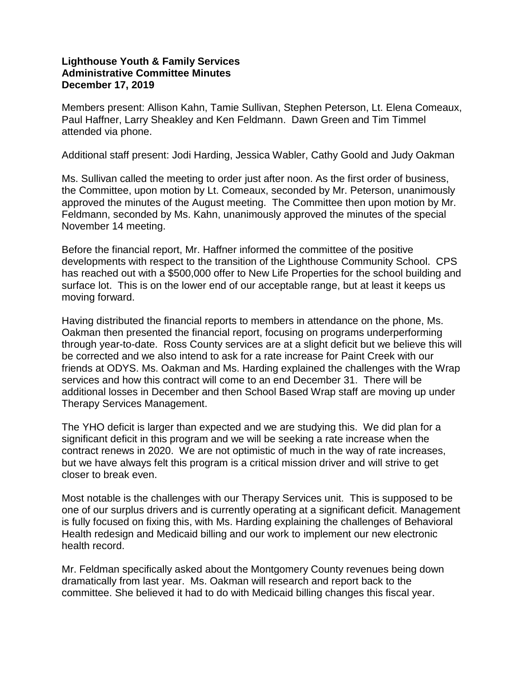## **Lighthouse Youth & Family Services Administrative Committee Minutes December 17, 2019**

Members present: Allison Kahn, Tamie Sullivan, Stephen Peterson, Lt. Elena Comeaux, Paul Haffner, Larry Sheakley and Ken Feldmann. Dawn Green and Tim Timmel attended via phone.

Additional staff present: Jodi Harding, Jessica Wabler, Cathy Goold and Judy Oakman

Ms. Sullivan called the meeting to order just after noon. As the first order of business, the Committee, upon motion by Lt. Comeaux, seconded by Mr. Peterson, unanimously approved the minutes of the August meeting. The Committee then upon motion by Mr. Feldmann, seconded by Ms. Kahn, unanimously approved the minutes of the special November 14 meeting.

Before the financial report, Mr. Haffner informed the committee of the positive developments with respect to the transition of the Lighthouse Community School. CPS has reached out with a \$500,000 offer to New Life Properties for the school building and surface lot. This is on the lower end of our acceptable range, but at least it keeps us moving forward.

Having distributed the financial reports to members in attendance on the phone, Ms. Oakman then presented the financial report, focusing on programs underperforming through year-to-date. Ross County services are at a slight deficit but we believe this will be corrected and we also intend to ask for a rate increase for Paint Creek with our friends at ODYS. Ms. Oakman and Ms. Harding explained the challenges with the Wrap services and how this contract will come to an end December 31. There will be additional losses in December and then School Based Wrap staff are moving up under Therapy Services Management.

The YHO deficit is larger than expected and we are studying this. We did plan for a significant deficit in this program and we will be seeking a rate increase when the contract renews in 2020. We are not optimistic of much in the way of rate increases, but we have always felt this program is a critical mission driver and will strive to get closer to break even.

Most notable is the challenges with our Therapy Services unit. This is supposed to be one of our surplus drivers and is currently operating at a significant deficit. Management is fully focused on fixing this, with Ms. Harding explaining the challenges of Behavioral Health redesign and Medicaid billing and our work to implement our new electronic health record.

Mr. Feldman specifically asked about the Montgomery County revenues being down dramatically from last year. Ms. Oakman will research and report back to the committee. She believed it had to do with Medicaid billing changes this fiscal year.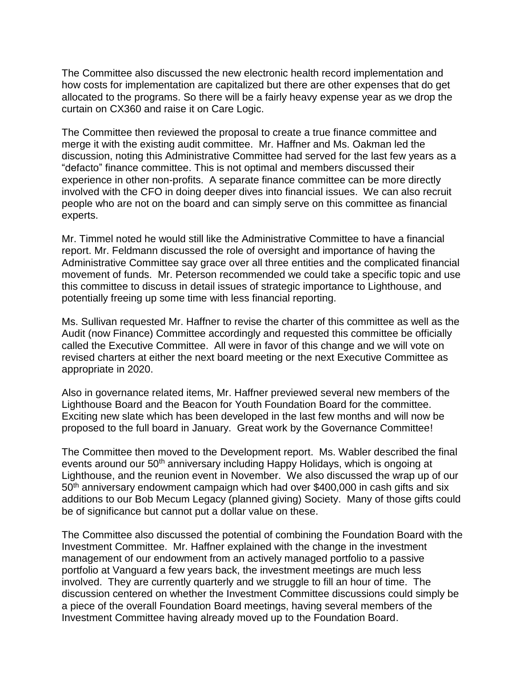The Committee also discussed the new electronic health record implementation and how costs for implementation are capitalized but there are other expenses that do get allocated to the programs. So there will be a fairly heavy expense year as we drop the curtain on CX360 and raise it on Care Logic.

The Committee then reviewed the proposal to create a true finance committee and merge it with the existing audit committee. Mr. Haffner and Ms. Oakman led the discussion, noting this Administrative Committee had served for the last few years as a "defacto" finance committee. This is not optimal and members discussed their experience in other non-profits. A separate finance committee can be more directly involved with the CFO in doing deeper dives into financial issues. We can also recruit people who are not on the board and can simply serve on this committee as financial experts.

Mr. Timmel noted he would still like the Administrative Committee to have a financial report. Mr. Feldmann discussed the role of oversight and importance of having the Administrative Committee say grace over all three entities and the complicated financial movement of funds. Mr. Peterson recommended we could take a specific topic and use this committee to discuss in detail issues of strategic importance to Lighthouse, and potentially freeing up some time with less financial reporting.

Ms. Sullivan requested Mr. Haffner to revise the charter of this committee as well as the Audit (now Finance) Committee accordingly and requested this committee be officially called the Executive Committee. All were in favor of this change and we will vote on revised charters at either the next board meeting or the next Executive Committee as appropriate in 2020.

Also in governance related items, Mr. Haffner previewed several new members of the Lighthouse Board and the Beacon for Youth Foundation Board for the committee. Exciting new slate which has been developed in the last few months and will now be proposed to the full board in January. Great work by the Governance Committee!

The Committee then moved to the Development report. Ms. Wabler described the final events around our 50<sup>th</sup> anniversary including Happy Holidays, which is ongoing at Lighthouse, and the reunion event in November. We also discussed the wrap up of our 50th anniversary endowment campaign which had over \$400,000 in cash gifts and six additions to our Bob Mecum Legacy (planned giving) Society. Many of those gifts could be of significance but cannot put a dollar value on these.

The Committee also discussed the potential of combining the Foundation Board with the Investment Committee. Mr. Haffner explained with the change in the investment management of our endowment from an actively managed portfolio to a passive portfolio at Vanguard a few years back, the investment meetings are much less involved. They are currently quarterly and we struggle to fill an hour of time. The discussion centered on whether the Investment Committee discussions could simply be a piece of the overall Foundation Board meetings, having several members of the Investment Committee having already moved up to the Foundation Board.